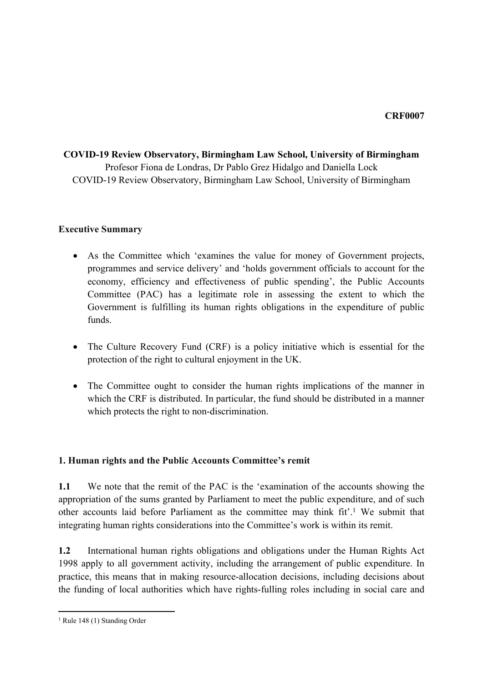## **COVID-19 Review Observatory, Birmingham Law School, University of Birmingham** Profesor Fiona de Londras, Dr Pablo Grez Hidalgo and Daniella Lock COVID-19 Review Observatory, Birmingham Law School, University of Birmingham

#### **Executive Summary**

- As the Committee which 'examines the value for money of Government projects, programmes and service delivery' and 'holds government officials to account for the economy, efficiency and effectiveness of public spending', the Public Accounts Committee (PAC) has a legitimate role in assessing the extent to which the Government is fulfilling its human rights obligations in the expenditure of public funds.
- The Culture Recovery Fund (CRF) is a policy initiative which is essential for the protection of the right to cultural enjoyment in the UK.
- The Committee ought to consider the human rights implications of the manner in which the CRF is distributed. In particular, the fund should be distributed in a manner which protects the right to non-discrimination.

### **1. Human rights and the Public Accounts Committee's remit**

**1.1** We note that the remit of the PAC is the 'examination of the accounts showing the appropriation of the sums granted by Parliament to meet the public expenditure, and of such other accounts laid before Parliament as the committee may think fit'.<sup>1</sup> We submit that integrating human rights considerations into the Committee's work is within its remit.

**1.2** International human rights obligations and obligations under the Human Rights Act 1998 apply to all government activity, including the arrangement of public expenditure. In practice, this means that in making resource-allocation decisions, including decisions about the funding of local authorities which have rights-fulling roles including in social care and

<sup>1</sup> Rule 148 (1) Standing Order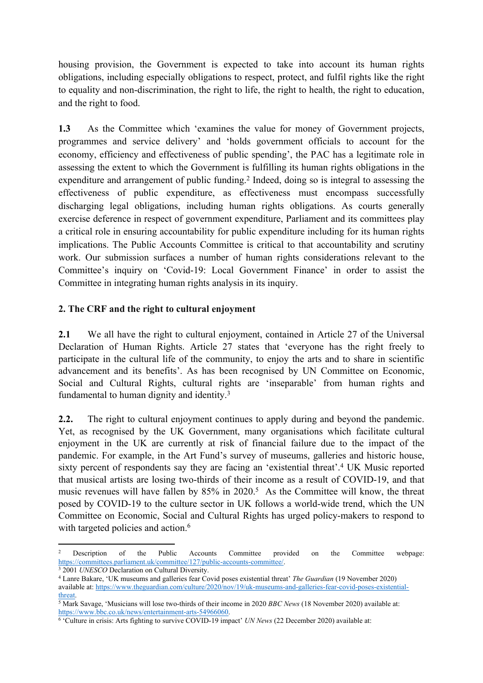housing provision, the Government is expected to take into account its human rights obligations, including especially obligations to respect, protect, and fulfil rights like the right to equality and non-discrimination, the right to life, the right to health, the right to education, and the right to food.

**1.3** As the Committee which 'examines the value for money of Government projects, programmes and service delivery' and 'holds government officials to account for the economy, efficiency and effectiveness of public spending', the PAC has a legitimate role in assessing the extent to which the Government is fulfilling its human rights obligations in the expenditure and arrangement of public funding.<sup>2</sup> Indeed, doing so is integral to assessing the effectiveness of public expenditure, as effectiveness must encompass successfully discharging legal obligations, including human rights obligations. As courts generally exercise deference in respect of government expenditure, Parliament and its committees play a critical role in ensuring accountability for public expenditure including for its human rights implications. The Public Accounts Committee is critical to that accountability and scrutiny work. Our submission surfaces a number of human rights considerations relevant to the Committee's inquiry on 'Covid-19: Local Government Finance' in order to assist the Committee in integrating human rights analysis in its inquiry.

### **2. The CRF and the right to cultural enjoyment**

**2.1** We all have the right to cultural enjoyment, contained in Article 27 of the Universal Declaration of Human Rights. Article 27 states that 'everyone has the right freely to participate in the cultural life of the community, to enjoy the arts and to share in scientific advancement and its benefits'. As has been recognised by UN Committee on Economic, Social and Cultural Rights, cultural rights are 'inseparable' from human rights and fundamental to human dignity and identity.<sup>3</sup>

**2.2.** The right to cultural enjoyment continues to apply during and beyond the pandemic. Yet, as recognised by the UK Government, many organisations which facilitate cultural enjoyment in the UK are currently at risk of financial failure due to the impact of the pandemic. For example, in the Art Fund's survey of museums, galleries and historic house, sixty percent of respondents say they are facing an 'existential threat'.<sup>4</sup> UK Music reported that musical artists are losing two-thirds of their income as a result of COVID-19, and that music revenues will have fallen by 85% in 2020.<sup>5</sup> As the Committee will know, the threat posed by COVID-19 to the culture sector in UK follows a world-wide trend, which the UN Committee on Economic, Social and Cultural Rights has urged policy-makers to respond to with targeted policies and action.<sup>6</sup>

<sup>&</sup>lt;sup>2</sup> Description of the Public Accounts Committee provided on the Committee webpage: [https://committees.parliament.uk/committee/127/public-accounts-committee/.](https://committees.parliament.uk/committee/127/public-accounts-committee/)

<sup>3</sup> 2001 *UNESCO* Declaration on Cultural Diversity.

<sup>4</sup> Lanre Bakare, 'UK museums and galleries fear Covid poses existential threat' *The Guardian* (19 November 2020) available at: [https://www.theguardian.com/culture/2020/nov/19/uk-museums-and-galleries-fear-covid-poses-existential](https://www.theguardian.com/culture/2020/nov/19/uk-museums-and-galleries-fear-covid-poses-existential-threat)[threat](https://www.theguardian.com/culture/2020/nov/19/uk-museums-and-galleries-fear-covid-poses-existential-threat).

<sup>5</sup> Mark Savage, 'Musicians will lose two-thirds of their income in 2020 *BBC News* (18 November 2020) available at: [https://www.bbc.co.uk/news/entertainment-arts-54966060.](https://www.bbc.co.uk/news/entertainment-arts-54966060)

<sup>6</sup> 'Culture in crisis: Arts fighting to survive COVID-19 impact' *UN News* (22 December 2020) available at: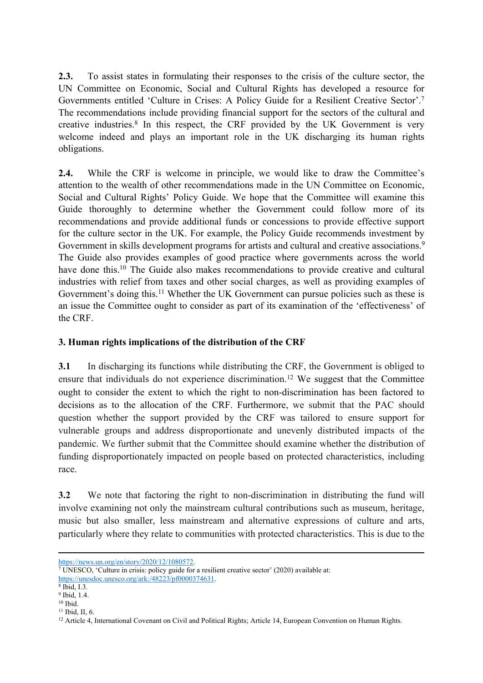**2.3.** To assist states in formulating their responses to the crisis of the culture sector, the UN Committee on Economic, Social and Cultural Rights has developed a resource for Governments entitled 'Culture in Crises: A Policy Guide for a Resilient Creative Sector'.<sup>7</sup> The recommendations include providing financial support for the sectors of the cultural and creative industries.<sup>8</sup> In this respect, the CRF provided by the UK Government is very welcome indeed and plays an important role in the UK discharging its human rights obligations.

**2.4.** While the CRF is welcome in principle, we would like to draw the Committee's attention to the wealth of other recommendations made in the UN Committee on Economic, Social and Cultural Rights' Policy Guide. We hope that the Committee will examine this Guide thoroughly to determine whether the Government could follow more of its recommendations and provide additional funds or concessions to provide effective support for the culture sector in the UK. For example, the Policy Guide recommends investment by Government in skills development programs for artists and cultural and creative associations.<sup>9</sup> The Guide also provides examples of good practice where governments across the world have done this.<sup>10</sup> The Guide also makes recommendations to provide creative and cultural industries with relief from taxes and other social charges, as well as providing examples of Government's doing this.<sup>11</sup> Whether the UK Government can pursue policies such as these is an issue the Committee ought to consider as part of its examination of the 'effectiveness' of the CRF.

### **3. Human rights implications of the distribution of the CRF**

**3.1** In discharging its functions while distributing the CRF, the Government is obliged to ensure that individuals do not experience discrimination.<sup>12</sup> We suggest that the Committee ought to consider the extent to which the right to non-discrimination has been factored to decisions as to the allocation of the CRF. Furthermore, we submit that the PAC should question whether the support provided by the CRF was tailored to ensure support for vulnerable groups and address disproportionate and unevenly distributed impacts of the pandemic. We further submit that the Committee should examine whether the distribution of funding disproportionately impacted on people based on protected characteristics, including race.

**3.2** We note that factoring the right to non-discrimination in distributing the fund will involve examining not only the mainstream cultural contributions such as museum, heritage, music but also smaller, less mainstream and alternative expressions of culture and arts, particularly where they relate to communities with protected characteristics. This is due to the

<https://news.un.org/en/story/2020/12/1080572>.

<sup>7</sup> UNESCO, 'Culture in crisis: policy guide for a resilient creative sector' (2020) available at: <https://unesdoc.unesco.org/ark:/48223/pf0000374631>.

<sup>8</sup> Ibid, I.3.

<sup>9</sup> Ibid, 1.4.

 $10$  Ibid.

<sup>11</sup> Ibid, II, 6.

<sup>&</sup>lt;sup>12</sup> Article 4, International Covenant on Civil and Political Rights; Article 14, European Convention on Human Rights.